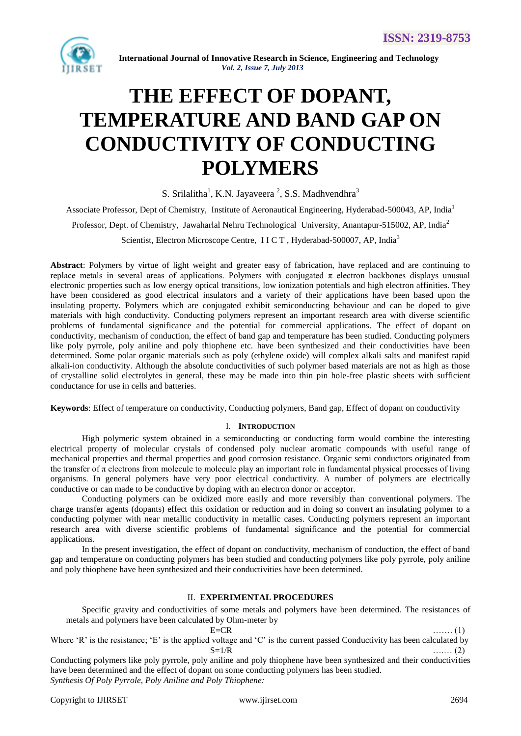

 **International Journal of Innovative Research in Science, Engineering and Technology** *Vol. 2, Issue 7, July 2013*

# **THE EFFECT OF DOPANT, TEMPERATURE AND BAND GAP ON CONDUCTIVITY OF CONDUCTING POLYMERS**

S. Srilalitha<sup>1</sup>, K.N. Jayaveera<sup>2</sup>, S.S. Madhvendhra<sup>3</sup>

Associate Professor, Dept of Chemistry, Institute of Aeronautical Engineering, Hyderabad-500043, AP, India<sup>1</sup>

Professor, Dept. of Chemistry, Jawaharlal Nehru Technological University, Anantapur-515002, AP, India<sup>2</sup>

Scientist, Electron Microscope Centre, II C T, Hyderabad-500007, AP, India<sup>3</sup>

**Abstract**: Polymers by virtue of light weight and greater easy of fabrication, have replaced and are continuing to replace metals in several areas of applications. Polymers with conjugated π electron backbones displays unusual electronic properties such as low energy optical transitions, low ionization potentials and high electron affinities. They have been considered as good electrical insulators and a variety of their applications have been based upon the insulating property. Polymers which are conjugated exhibit semiconducting behaviour and can be doped to give materials with high conductivity. Conducting polymers represent an important research area with diverse scientific problems of fundamental significance and the potential for commercial applications. The effect of dopant on conductivity, mechanism of conduction, the effect of band gap and temperature has been studied. Conducting polymers like poly pyrrole, poly aniline and poly thiophene etc. have been synthesized and their conductivities have been determined. Some polar organic materials such as poly (ethylene oxide) will complex alkali salts and manifest rapid alkali-ion conductivity. Although the absolute conductivities of such polymer based materials are not as high as those of crystalline solid electrolytes in general, these may be made into thin pin hole-free plastic sheets with sufficient conductance for use in cells and batteries.

**Keywords**: Effect of temperature on conductivity, Conducting polymers, Band gap, Effect of dopant on conductivity

## I. **INTRODUCTION**

High polymeric system obtained in a semiconducting or conducting form would combine the interesting electrical property of molecular crystals of condensed poly nuclear aromatic compounds with useful range of mechanical properties and thermal properties and good corrosion resistance. Organic semi conductors originated from the transfer of  $\pi$  electrons from molecule to molecule play an important role in fundamental physical processes of living organisms. In general polymers have very poor electrical conductivity. A number of polymers are electrically conductive or can made to be conductive by doping with an electron donor or acceptor.

 Conducting polymers can be oxidized more easily and more reversibly than conventional polymers. The charge transfer agents (dopants) effect this oxidation or reduction and in doing so convert an insulating polymer to a conducting polymer with near metallic conductivity in metallic cases. Conducting polymers represent an important research area with diverse scientific problems of fundamental significance and the potential for commercial applications.

 In the present investigation, the effect of dopant on conductivity, mechanism of conduction, the effect of band gap and temperature on conducting polymers has been studied and conducting polymers like poly pyrrole, poly aniline and poly thiophene have been synthesized and their conductivities have been determined.

# II. **EXPERIMENTAL PROCEDURES**

 Specific gravity and conductivities of some metals and polymers have been determined. The resistances of metals and polymers have been calculated by Ohm-meter by

E=CR ……. (1)

Where 'R' is the resistance; 'E' is the applied voltage and 'C' is the current passed Conductivity has been calculated by  $S=1/R$  …… (2)

Conducting polymers like poly pyrrole, poly aniline and poly thiophene have been synthesized and their conductivities have been determined and the effect of dopant on some conducting polymers has been studied. *Synthesis Of Poly Pyrrole, Poly Aniline and Poly Thiophene:*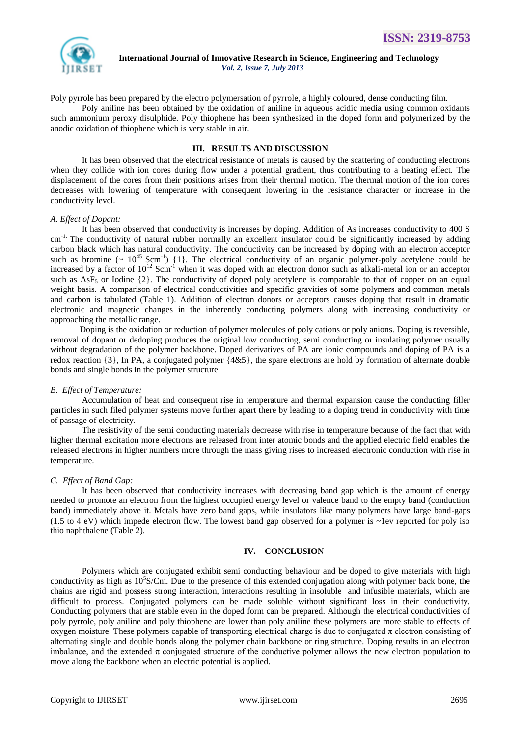

 **International Journal of Innovative Research in Science, Engineering and Technology** *Vol. 2, Issue 7, July 2013*

Poly pyrrole has been prepared by the electro polymersation of pyrrole, a highly coloured, dense conducting film.

 Poly aniline has been obtained by the oxidation of aniline in aqueous acidic media using common oxidants such ammonium peroxy disulphide. Poly thiophene has been synthesized in the doped form and polymerized by the anodic oxidation of thiophene which is very stable in air.

## **III. RESULTS AND DISCUSSION**

It has been observed that the electrical resistance of metals is caused by the scattering of conducting electrons when they collide with ion cores during flow under a potential gradient, thus contributing to a heating effect. The displacement of the cores from their positions arises from their thermal motion. The thermal motion of the ion cores decreases with lowering of temperature with consequent lowering in the resistance character or increase in the conductivity level.

### *A. Effect of Dopant:*

It has been observed that conductivity is increases by doping. Addition of As increases conductivity to 400 S cm<sup>-1.</sup> The conductivity of natural rubber normally an excellent insulator could be significantly increased by adding carbon black which has natural conductivity. The conductivity can be increased by doping with an electron acceptor such as bromine  $({\sim 10^{45} \text{ Scm}^{-1}})$  {1}. The electrical conductivity of an organic polymer-poly acetylene could be increased by a factor of  $10^{12}$  Scm<sup>-1</sup> when it was doped with an electron donor such as alkali-metal ion or an acceptor such as AsF<sub>5</sub> or Iodine  $\{2\}$ . The conductivity of doped poly acetylene is comparable to that of copper on an equal weight basis. A comparison of electrical conductivities and specific gravities of some polymers and common metals and carbon is tabulated (Table 1). Addition of electron donors or acceptors causes doping that result in dramatic electronic and magnetic changes in the inherently conducting polymers along with increasing conductivity or approaching the metallic range.

 Doping is the oxidation or reduction of polymer molecules of poly cations or poly anions. Doping is reversible, removal of dopant or dedoping produces the original low conducting, semi conducting or insulating polymer usually without degradation of the polymer backbone. Doped derivatives of PA are ionic compounds and doping of PA is a redox reaction {3}, In PA, a conjugated polymer {4&5}, the spare electrons are hold by formation of alternate double bonds and single bonds in the polymer structure.

### *B. Effect of Temperature:*

Accumulation of heat and consequent rise in temperature and thermal expansion cause the conducting filler particles in such filed polymer systems move further apart there by leading to a doping trend in conductivity with time of passage of electricity.

 The resistivity of the semi conducting materials decrease with rise in temperature because of the fact that with higher thermal excitation more electrons are released from inter atomic bonds and the applied electric field enables the released electrons in higher numbers more through the mass giving rises to increased electronic conduction with rise in temperature.

### *C. Effect of Band Gap:*

It has been observed that conductivity increases with decreasing band gap which is the amount of energy needed to promote an electron from the highest occupied energy level or valence band to the empty band (conduction band) immediately above it. Metals have zero band gaps, while insulators like many polymers have large band-gaps (1.5 to 4 eV) which impede electron flow. The lowest band gap observed for a polymer is ~1ev reported for poly iso thio naphthalene (Table 2).

# **IV. CONCLUSION**

Polymers which are conjugated exhibit semi conducting behaviour and be doped to give materials with high conductivity as high as  $10<sup>5</sup>S/Cm$ . Due to the presence of this extended conjugation along with polymer back bone, the chains are rigid and possess strong interaction, interactions resulting in insoluble and infusible materials, which are difficult to process. Conjugated polymers can be made soluble without significant loss in their conductivity. Conducting polymers that are stable even in the doped form can be prepared. Although the electrical conductivities of poly pyrrole, poly aniline and poly thiophene are lower than poly aniline these polymers are more stable to effects of oxygen moisture. These polymers capable of transporting electrical charge is due to conjugated  $\pi$  electron consisting of alternating single and double bonds along the polymer chain backbone or ring structure. Doping results in an electron imbalance, and the extended  $\pi$  conjugated structure of the conductive polymer allows the new electron population to move along the backbone when an electric potential is applied.